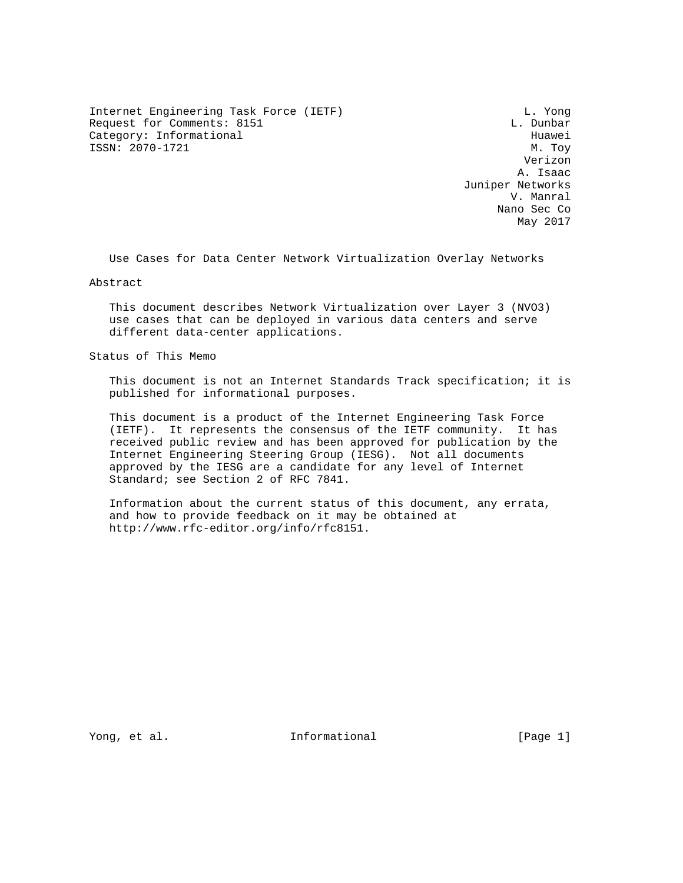Internet Engineering Task Force (IETF) and the control of the L. Yong Request for Comments: 8151 L. Dunbar Category: Informational development of the Huawei ISSN: 2070-1721 M. Toy

 Verizon A. Isaac Juniper Networks V. Manral Nano Sec Co May 2017

Use Cases for Data Center Network Virtualization Overlay Networks

Abstract

 This document describes Network Virtualization over Layer 3 (NVO3) use cases that can be deployed in various data centers and serve different data-center applications.

Status of This Memo

 This document is not an Internet Standards Track specification; it is published for informational purposes.

 This document is a product of the Internet Engineering Task Force (IETF). It represents the consensus of the IETF community. It has received public review and has been approved for publication by the Internet Engineering Steering Group (IESG). Not all documents approved by the IESG are a candidate for any level of Internet Standard; see Section 2 of RFC 7841.

 Information about the current status of this document, any errata, and how to provide feedback on it may be obtained at http://www.rfc-editor.org/info/rfc8151.

Yong, et al. Thermational Theorem is a set of  $[Page 1]$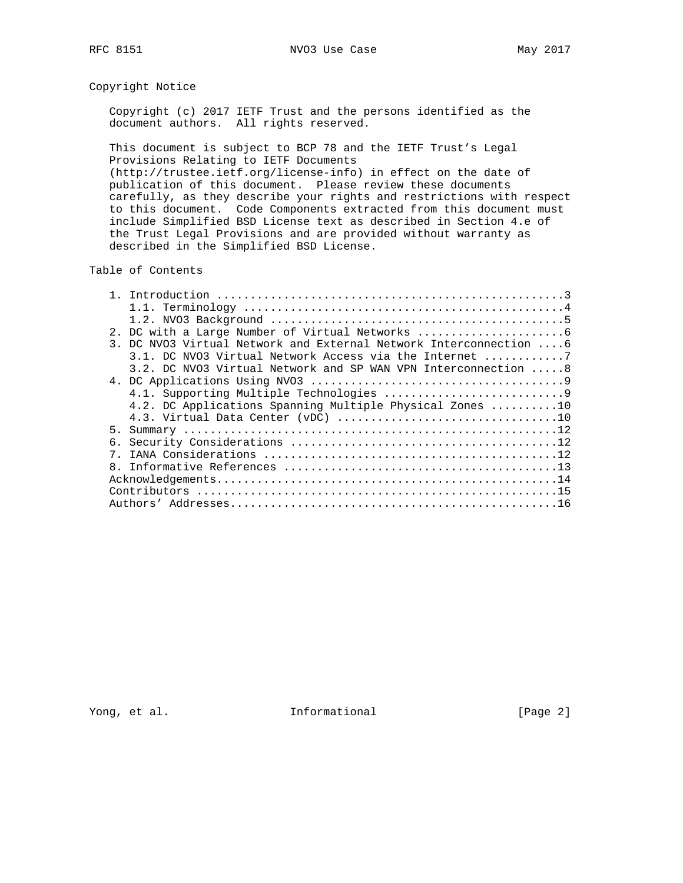# Copyright Notice

 Copyright (c) 2017 IETF Trust and the persons identified as the document authors. All rights reserved.

 This document is subject to BCP 78 and the IETF Trust's Legal Provisions Relating to IETF Documents

 (http://trustee.ietf.org/license-info) in effect on the date of publication of this document. Please review these documents carefully, as they describe your rights and restrictions with respect to this document. Code Components extracted from this document must include Simplified BSD License text as described in Section 4.e of the Trust Legal Provisions and are provided without warranty as described in the Simplified BSD License.

Table of Contents

|   | 2. DC with a Large Number of Virtual Networks                     |
|---|-------------------------------------------------------------------|
|   | 3. DC NVO3 Virtual Network and External Network Interconnection 6 |
|   | 3.1. DC NVO3 Virtual Network Access via the Internet 7            |
|   | 3.2. DC NVO3 Virtual Network and SP WAN VPN Interconnection 8     |
|   |                                                                   |
|   |                                                                   |
|   | 4.2. DC Applications Spanning Multiple Physical Zones 10          |
|   |                                                                   |
|   |                                                                   |
|   |                                                                   |
|   |                                                                   |
| 8 |                                                                   |
|   |                                                                   |
|   |                                                                   |
|   |                                                                   |

Yong, et al. Subsetted and the informational contractions in the left of  $[Page 2]$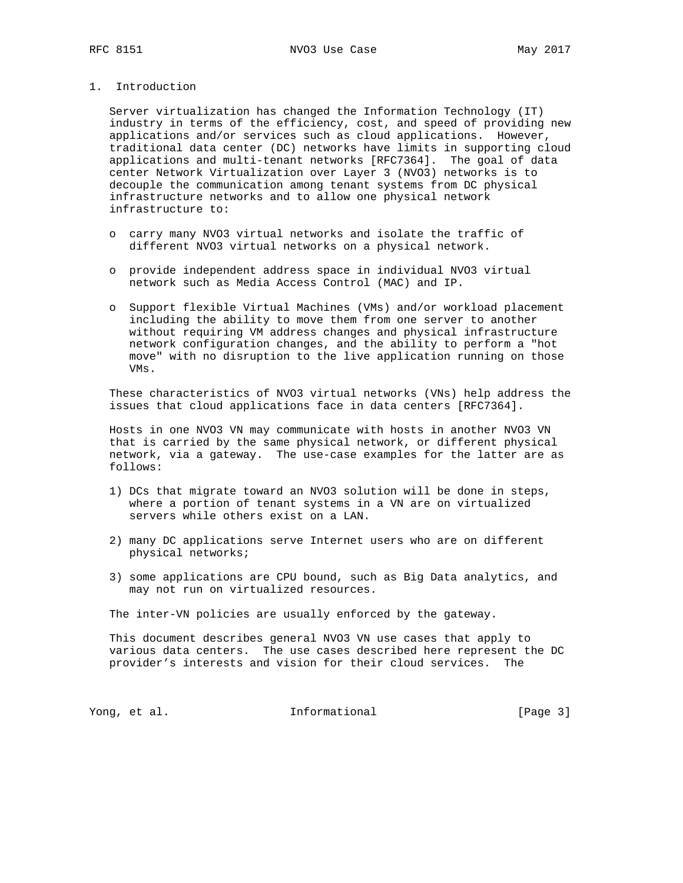1. Introduction

 Server virtualization has changed the Information Technology (IT) industry in terms of the efficiency, cost, and speed of providing new applications and/or services such as cloud applications. However, traditional data center (DC) networks have limits in supporting cloud applications and multi-tenant networks [RFC7364]. The goal of data center Network Virtualization over Layer 3 (NVO3) networks is to decouple the communication among tenant systems from DC physical infrastructure networks and to allow one physical network infrastructure to:

- o carry many NVO3 virtual networks and isolate the traffic of different NVO3 virtual networks on a physical network.
- o provide independent address space in individual NVO3 virtual network such as Media Access Control (MAC) and IP.
- o Support flexible Virtual Machines (VMs) and/or workload placement including the ability to move them from one server to another without requiring VM address changes and physical infrastructure network configuration changes, and the ability to perform a "hot move" with no disruption to the live application running on those VMs.

 These characteristics of NVO3 virtual networks (VNs) help address the issues that cloud applications face in data centers [RFC7364].

 Hosts in one NVO3 VN may communicate with hosts in another NVO3 VN that is carried by the same physical network, or different physical network, via a gateway. The use-case examples for the latter are as follows:

- 1) DCs that migrate toward an NVO3 solution will be done in steps, where a portion of tenant systems in a VN are on virtualized servers while others exist on a LAN.
- 2) many DC applications serve Internet users who are on different physical networks;
- 3) some applications are CPU bound, such as Big Data analytics, and may not run on virtualized resources.

The inter-VN policies are usually enforced by the gateway.

 This document describes general NVO3 VN use cases that apply to various data centers. The use cases described here represent the DC provider's interests and vision for their cloud services. The

Yong, et al. The Informational The Informational [Page 3]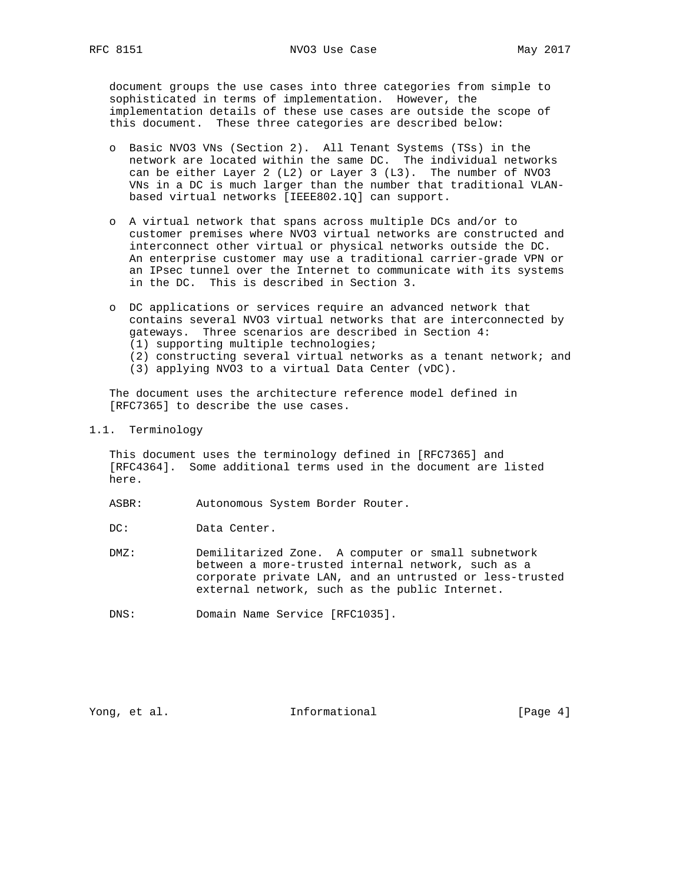document groups the use cases into three categories from simple to sophisticated in terms of implementation. However, the implementation details of these use cases are outside the scope of this document. These three categories are described below:

- o Basic NVO3 VNs (Section 2). All Tenant Systems (TSs) in the network are located within the same DC. The individual networks can be either Layer 2 (L2) or Layer 3 (L3). The number of NVO3 VNs in a DC is much larger than the number that traditional VLAN based virtual networks [IEEE802.1Q] can support.
- o A virtual network that spans across multiple DCs and/or to customer premises where NVO3 virtual networks are constructed and interconnect other virtual or physical networks outside the DC. An enterprise customer may use a traditional carrier-grade VPN or an IPsec tunnel over the Internet to communicate with its systems in the DC. This is described in Section 3.
- o DC applications or services require an advanced network that contains several NVO3 virtual networks that are interconnected by gateways. Three scenarios are described in Section 4: (1) supporting multiple technologies;
	-
	- (2) constructing several virtual networks as a tenant network; and
	- (3) applying NVO3 to a virtual Data Center (vDC).

 The document uses the architecture reference model defined in [RFC7365] to describe the use cases.

1.1. Terminology

 This document uses the terminology defined in [RFC7365] and [RFC4364]. Some additional terms used in the document are listed here.

ASBR: Autonomous System Border Router.

DC: Data Center.

- DMZ: Demilitarized Zone. A computer or small subnetwork between a more-trusted internal network, such as a corporate private LAN, and an untrusted or less-trusted external network, such as the public Internet.
- DNS: Domain Name Service [RFC1035].

Yong, et al. 10. Informational 1. [Page 4]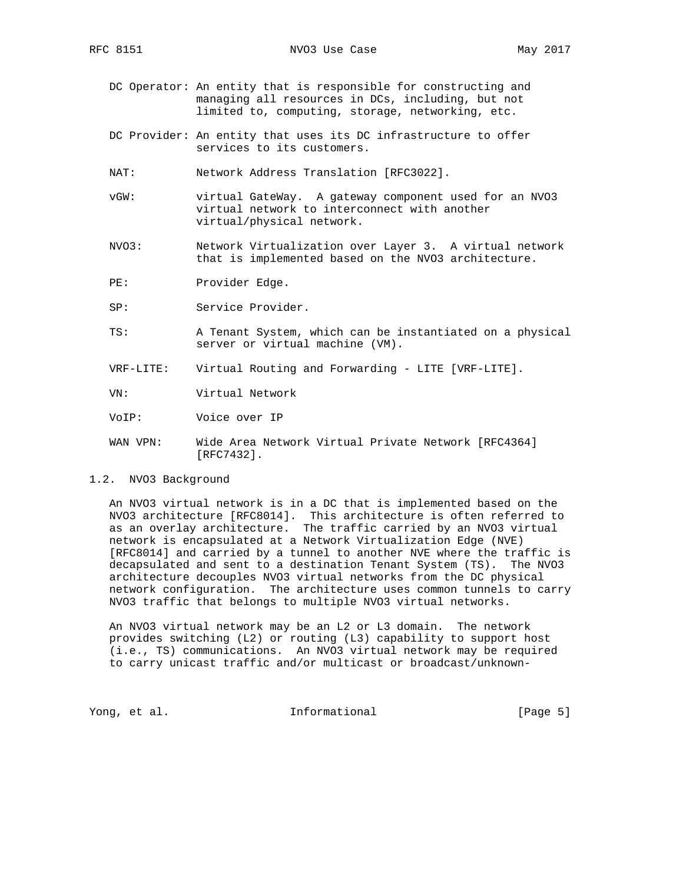- DC Operator: An entity that is responsible for constructing and managing all resources in DCs, including, but not limited to, computing, storage, networking, etc.
- DC Provider: An entity that uses its DC infrastructure to offer services to its customers.
- NAT: Network Address Translation [RFC3022].
- vGW: virtual GateWay. A gateway component used for an NVO3 virtual network to interconnect with another virtual/physical network.
- NVO3: Network Virtualization over Layer 3. A virtual network that is implemented based on the NVO3 architecture.
- PE: Provider Edge.
- SP: Service Provider.
- TS: A Tenant System, which can be instantiated on a physical server or virtual machine (VM).
- VRF-LITE: Virtual Routing and Forwarding LITE [VRF-LITE].
- VN: Virtual Network
- VoIP: Voice over IP
- WAN VPN: Wide Area Network Virtual Private Network [RFC4364] [RFC7432].
- 1.2. NVO3 Background

 An NVO3 virtual network is in a DC that is implemented based on the NVO3 architecture [RFC8014]. This architecture is often referred to as an overlay architecture. The traffic carried by an NVO3 virtual network is encapsulated at a Network Virtualization Edge (NVE) [RFC8014] and carried by a tunnel to another NVE where the traffic is decapsulated and sent to a destination Tenant System (TS). The NVO3 architecture decouples NVO3 virtual networks from the DC physical network configuration. The architecture uses common tunnels to carry NVO3 traffic that belongs to multiple NVO3 virtual networks.

 An NVO3 virtual network may be an L2 or L3 domain. The network provides switching (L2) or routing (L3) capability to support host (i.e., TS) communications. An NVO3 virtual network may be required to carry unicast traffic and/or multicast or broadcast/unknown-

Yong, et al. The Informational The Informational (Page 5)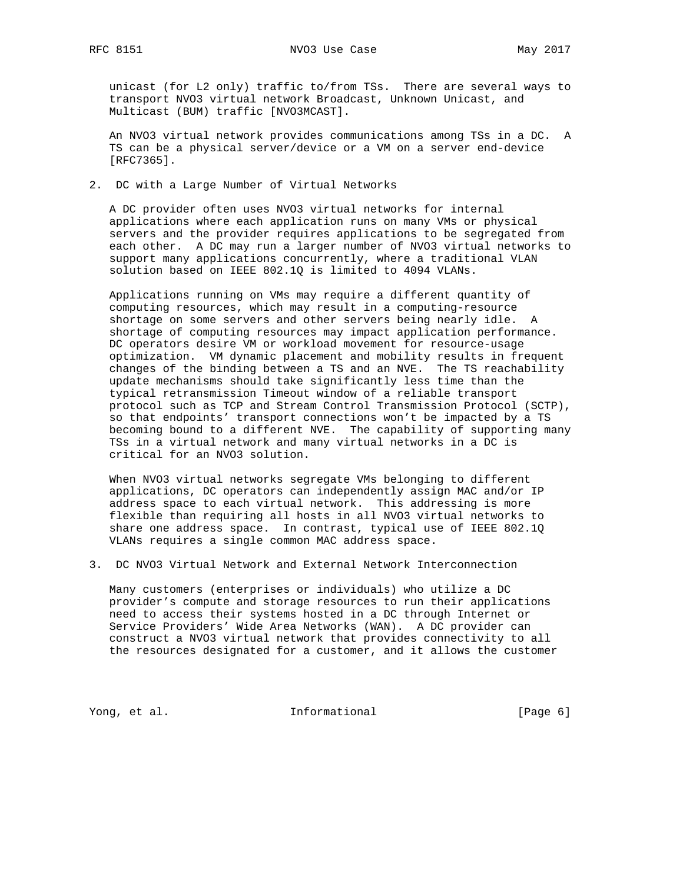unicast (for L2 only) traffic to/from TSs. There are several ways to transport NVO3 virtual network Broadcast, Unknown Unicast, and Multicast (BUM) traffic [NVO3MCAST].

 An NVO3 virtual network provides communications among TSs in a DC. A TS can be a physical server/device or a VM on a server end-device [RFC7365].

2. DC with a Large Number of Virtual Networks

 A DC provider often uses NVO3 virtual networks for internal applications where each application runs on many VMs or physical servers and the provider requires applications to be segregated from each other. A DC may run a larger number of NVO3 virtual networks to support many applications concurrently, where a traditional VLAN solution based on IEEE 802.1Q is limited to 4094 VLANs.

 Applications running on VMs may require a different quantity of computing resources, which may result in a computing-resource shortage on some servers and other servers being nearly idle. A shortage of computing resources may impact application performance. DC operators desire VM or workload movement for resource-usage optimization. VM dynamic placement and mobility results in frequent changes of the binding between a TS and an NVE. The TS reachability update mechanisms should take significantly less time than the typical retransmission Timeout window of a reliable transport protocol such as TCP and Stream Control Transmission Protocol (SCTP), so that endpoints' transport connections won't be impacted by a TS becoming bound to a different NVE. The capability of supporting many TSs in a virtual network and many virtual networks in a DC is critical for an NVO3 solution.

 When NVO3 virtual networks segregate VMs belonging to different applications, DC operators can independently assign MAC and/or IP address space to each virtual network. This addressing is more flexible than requiring all hosts in all NVO3 virtual networks to share one address space. In contrast, typical use of IEEE 802.1Q VLANs requires a single common MAC address space.

3. DC NVO3 Virtual Network and External Network Interconnection

 Many customers (enterprises or individuals) who utilize a DC provider's compute and storage resources to run their applications need to access their systems hosted in a DC through Internet or Service Providers' Wide Area Networks (WAN). A DC provider can construct a NVO3 virtual network that provides connectivity to all the resources designated for a customer, and it allows the customer

Yong, et al. Source and Informational Theorem is a set of  $[Page 6]$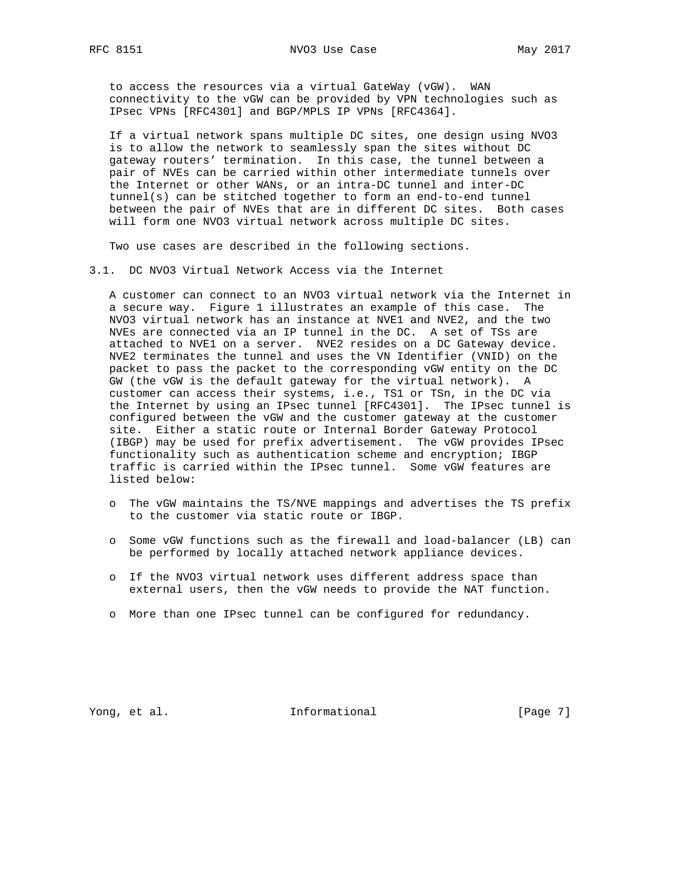to access the resources via a virtual GateWay (vGW). WAN connectivity to the vGW can be provided by VPN technologies such as IPsec VPNs [RFC4301] and BGP/MPLS IP VPNs [RFC4364].

 If a virtual network spans multiple DC sites, one design using NVO3 is to allow the network to seamlessly span the sites without DC gateway routers' termination. In this case, the tunnel between a pair of NVEs can be carried within other intermediate tunnels over the Internet or other WANs, or an intra-DC tunnel and inter-DC tunnel(s) can be stitched together to form an end-to-end tunnel between the pair of NVEs that are in different DC sites. Both cases will form one NVO3 virtual network across multiple DC sites.

Two use cases are described in the following sections.

3.1. DC NVO3 Virtual Network Access via the Internet

 A customer can connect to an NVO3 virtual network via the Internet in a secure way. Figure 1 illustrates an example of this case. The NVO3 virtual network has an instance at NVE1 and NVE2, and the two NVEs are connected via an IP tunnel in the DC. A set of TSs are attached to NVE1 on a server. NVE2 resides on a DC Gateway device. NVE2 terminates the tunnel and uses the VN Identifier (VNID) on the packet to pass the packet to the corresponding vGW entity on the DC GW (the vGW is the default gateway for the virtual network). A customer can access their systems, i.e., TS1 or TSn, in the DC via the Internet by using an IPsec tunnel [RFC4301]. The IPsec tunnel is configured between the vGW and the customer gateway at the customer site. Either a static route or Internal Border Gateway Protocol (IBGP) may be used for prefix advertisement. The vGW provides IPsec functionality such as authentication scheme and encryption; IBGP traffic is carried within the IPsec tunnel. Some vGW features are listed below:

- o The vGW maintains the TS/NVE mappings and advertises the TS prefix to the customer via static route or IBGP.
- o Some vGW functions such as the firewall and load-balancer (LB) can be performed by locally attached network appliance devices.
- o If the NVO3 virtual network uses different address space than external users, then the vGW needs to provide the NAT function.
- o More than one IPsec tunnel can be configured for redundancy.

Yong, et al. The Informational The Informational [Page 7]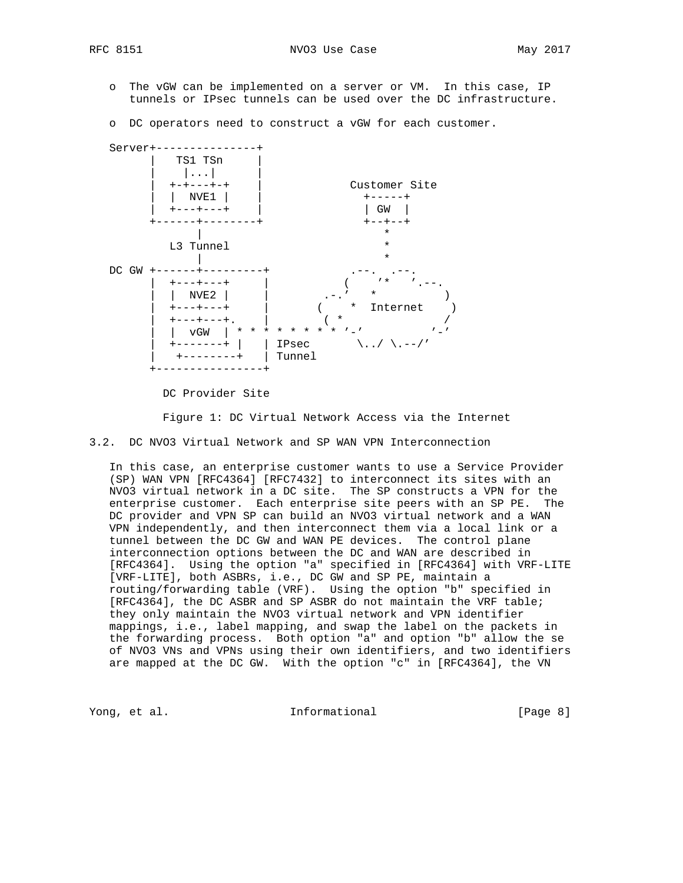- o The vGW can be implemented on a server or VM. In this case, IP tunnels or IPsec tunnels can be used over the DC infrastructure.
- o DC operators need to construct a vGW for each customer.



DC Provider Site

Figure 1: DC Virtual Network Access via the Internet

3.2. DC NVO3 Virtual Network and SP WAN VPN Interconnection

 In this case, an enterprise customer wants to use a Service Provider (SP) WAN VPN [RFC4364] [RFC7432] to interconnect its sites with an NVO3 virtual network in a DC site. The SP constructs a VPN for the enterprise customer. Each enterprise site peers with an SP PE. The DC provider and VPN SP can build an NVO3 virtual network and a WAN VPN independently, and then interconnect them via a local link or a tunnel between the DC GW and WAN PE devices. The control plane interconnection options between the DC and WAN are described in [RFC4364]. Using the option "a" specified in [RFC4364] with VRF-LITE [VRF-LITE], both ASBRs, i.e., DC GW and SP PE, maintain a routing/forwarding table (VRF). Using the option "b" specified in [RFC4364], the DC ASBR and SP ASBR do not maintain the VRF table; they only maintain the NVO3 virtual network and VPN identifier mappings, i.e., label mapping, and swap the label on the packets in the forwarding process. Both option "a" and option "b" allow the se of NVO3 VNs and VPNs using their own identifiers, and two identifiers are mapped at the DC GW. With the option "c" in [RFC4364], the VN

Yong, et al. The Informational The Informational [Page 8]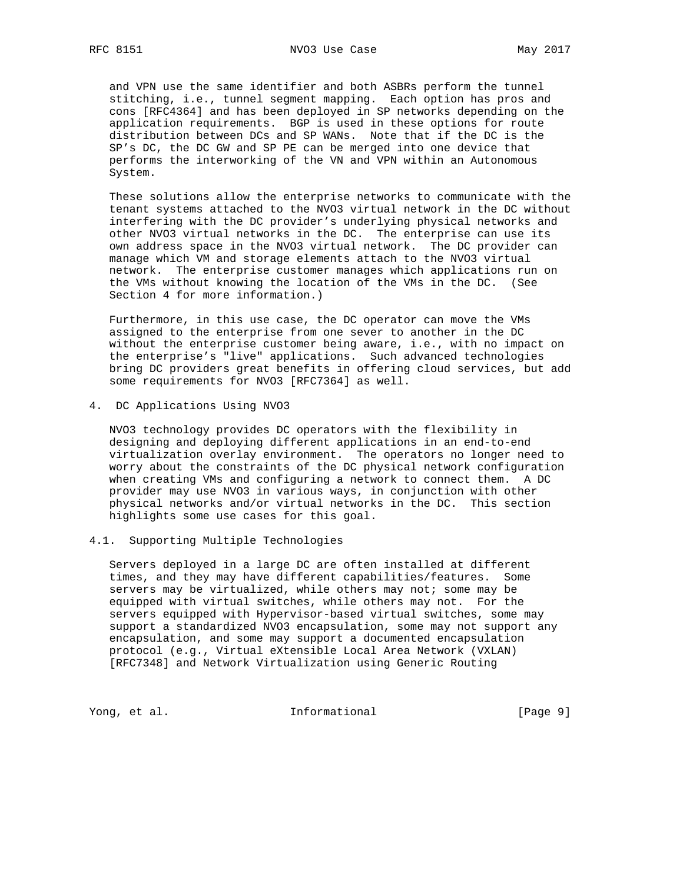and VPN use the same identifier and both ASBRs perform the tunnel stitching, i.e., tunnel segment mapping. Each option has pros and cons [RFC4364] and has been deployed in SP networks depending on the application requirements. BGP is used in these options for route distribution between DCs and SP WANs. Note that if the DC is the SP's DC, the DC GW and SP PE can be merged into one device that performs the interworking of the VN and VPN within an Autonomous System.

 These solutions allow the enterprise networks to communicate with the tenant systems attached to the NVO3 virtual network in the DC without interfering with the DC provider's underlying physical networks and other NVO3 virtual networks in the DC. The enterprise can use its own address space in the NVO3 virtual network. The DC provider can manage which VM and storage elements attach to the NVO3 virtual network. The enterprise customer manages which applications run on the VMs without knowing the location of the VMs in the DC. (See Section 4 for more information.)

 Furthermore, in this use case, the DC operator can move the VMs assigned to the enterprise from one sever to another in the DC without the enterprise customer being aware, i.e., with no impact on the enterprise's "live" applications. Such advanced technologies bring DC providers great benefits in offering cloud services, but add some requirements for NVO3 [RFC7364] as well.

4. DC Applications Using NVO3

 NVO3 technology provides DC operators with the flexibility in designing and deploying different applications in an end-to-end virtualization overlay environment. The operators no longer need to worry about the constraints of the DC physical network configuration when creating VMs and configuring a network to connect them. A DC provider may use NVO3 in various ways, in conjunction with other physical networks and/or virtual networks in the DC. This section highlights some use cases for this goal.

### 4.1. Supporting Multiple Technologies

 Servers deployed in a large DC are often installed at different times, and they may have different capabilities/features. Some servers may be virtualized, while others may not; some may be equipped with virtual switches, while others may not. For the servers equipped with Hypervisor-based virtual switches, some may support a standardized NVO3 encapsulation, some may not support any encapsulation, and some may support a documented encapsulation protocol (e.g., Virtual eXtensible Local Area Network (VXLAN) [RFC7348] and Network Virtualization using Generic Routing

Yong, et al. The Informational The Informational [Page 9]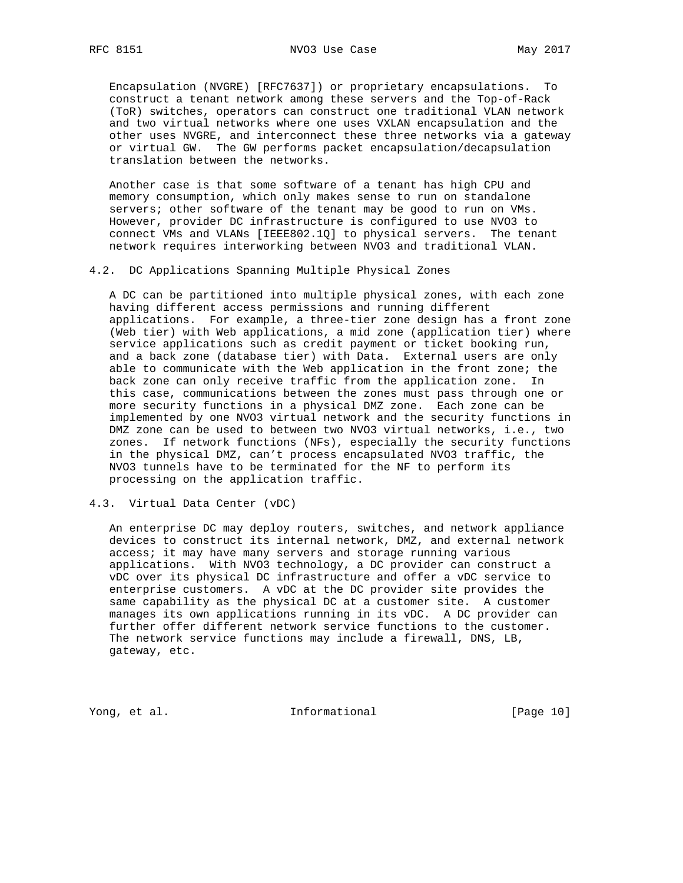Encapsulation (NVGRE) [RFC7637]) or proprietary encapsulations. To construct a tenant network among these servers and the Top-of-Rack (ToR) switches, operators can construct one traditional VLAN network and two virtual networks where one uses VXLAN encapsulation and the other uses NVGRE, and interconnect these three networks via a gateway or virtual GW. The GW performs packet encapsulation/decapsulation translation between the networks.

 Another case is that some software of a tenant has high CPU and memory consumption, which only makes sense to run on standalone servers; other software of the tenant may be good to run on VMs. However, provider DC infrastructure is configured to use NVO3 to connect VMs and VLANs [IEEE802.1Q] to physical servers. The tenant network requires interworking between NVO3 and traditional VLAN.

#### 4.2. DC Applications Spanning Multiple Physical Zones

 A DC can be partitioned into multiple physical zones, with each zone having different access permissions and running different applications. For example, a three-tier zone design has a front zone (Web tier) with Web applications, a mid zone (application tier) where service applications such as credit payment or ticket booking run, and a back zone (database tier) with Data. External users are only able to communicate with the Web application in the front zone; the back zone can only receive traffic from the application zone. In this case, communications between the zones must pass through one or more security functions in a physical DMZ zone. Each zone can be implemented by one NVO3 virtual network and the security functions in DMZ zone can be used to between two NVO3 virtual networks, i.e., two zones. If network functions (NFs), especially the security functions in the physical DMZ, can't process encapsulated NVO3 traffic, the NVO3 tunnels have to be terminated for the NF to perform its processing on the application traffic.

#### 4.3. Virtual Data Center (vDC)

 An enterprise DC may deploy routers, switches, and network appliance devices to construct its internal network, DMZ, and external network access; it may have many servers and storage running various applications. With NVO3 technology, a DC provider can construct a vDC over its physical DC infrastructure and offer a vDC service to enterprise customers. A vDC at the DC provider site provides the same capability as the physical DC at a customer site. A customer manages its own applications running in its vDC. A DC provider can further offer different network service functions to the customer. The network service functions may include a firewall, DNS, LB, gateway, etc.

Yong, et al. The Informational [Page 10]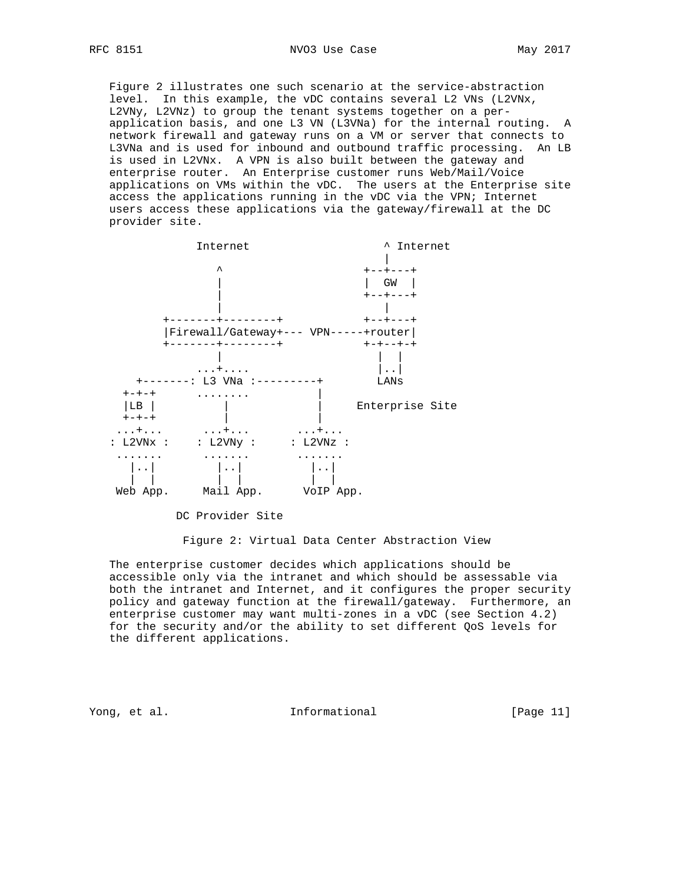Figure 2 illustrates one such scenario at the service-abstraction level. In this example, the vDC contains several L2 VNs (L2VNx, L2VNy, L2VNz) to group the tenant systems together on a per application basis, and one L3 VN (L3VNa) for the internal routing. A network firewall and gateway runs on a VM or server that connects to L3VNa and is used for inbound and outbound traffic processing. An LB is used in L2VNx. A VPN is also built between the gateway and enterprise router. An Enterprise customer runs Web/Mail/Voice applications on VMs within the vDC. The users at the Enterprise site access the applications running in the vDC via the VPN; Internet users access these applications via the gateway/firewall at the DC provider site.



DC Provider Site

Figure 2: Virtual Data Center Abstraction View

 The enterprise customer decides which applications should be accessible only via the intranet and which should be assessable via both the intranet and Internet, and it configures the proper security policy and gateway function at the firewall/gateway. Furthermore, an enterprise customer may want multi-zones in a vDC (see Section 4.2) for the security and/or the ability to set different QoS levels for the different applications.

Yong, et al. The Informational The Informational [Page 11]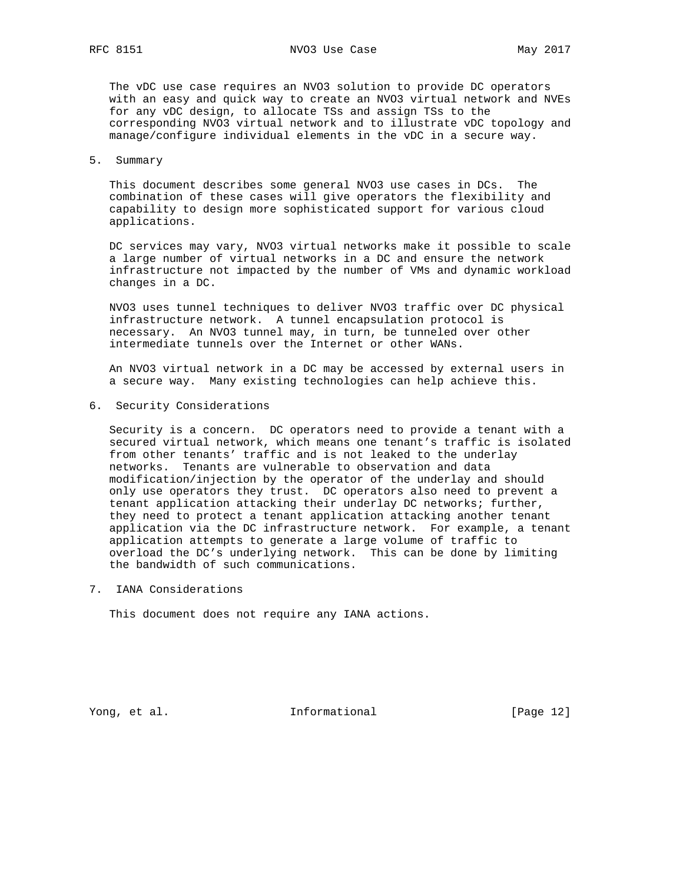The vDC use case requires an NVO3 solution to provide DC operators with an easy and quick way to create an NVO3 virtual network and NVEs for any vDC design, to allocate TSs and assign TSs to the corresponding NVO3 virtual network and to illustrate vDC topology and manage/configure individual elements in the vDC in a secure way.

#### 5. Summary

 This document describes some general NVO3 use cases in DCs. The combination of these cases will give operators the flexibility and capability to design more sophisticated support for various cloud applications.

 DC services may vary, NVO3 virtual networks make it possible to scale a large number of virtual networks in a DC and ensure the network infrastructure not impacted by the number of VMs and dynamic workload changes in a DC.

 NVO3 uses tunnel techniques to deliver NVO3 traffic over DC physical infrastructure network. A tunnel encapsulation protocol is necessary. An NVO3 tunnel may, in turn, be tunneled over other intermediate tunnels over the Internet or other WANs.

 An NVO3 virtual network in a DC may be accessed by external users in a secure way. Many existing technologies can help achieve this.

6. Security Considerations

 Security is a concern. DC operators need to provide a tenant with a secured virtual network, which means one tenant's traffic is isolated from other tenants' traffic and is not leaked to the underlay networks. Tenants are vulnerable to observation and data modification/injection by the operator of the underlay and should only use operators they trust. DC operators also need to prevent a tenant application attacking their underlay DC networks; further, they need to protect a tenant application attacking another tenant application via the DC infrastructure network. For example, a tenant application attempts to generate a large volume of traffic to overload the DC's underlying network. This can be done by limiting the bandwidth of such communications.

7. IANA Considerations

This document does not require any IANA actions.

Yong, et al. The Informational [Page 12]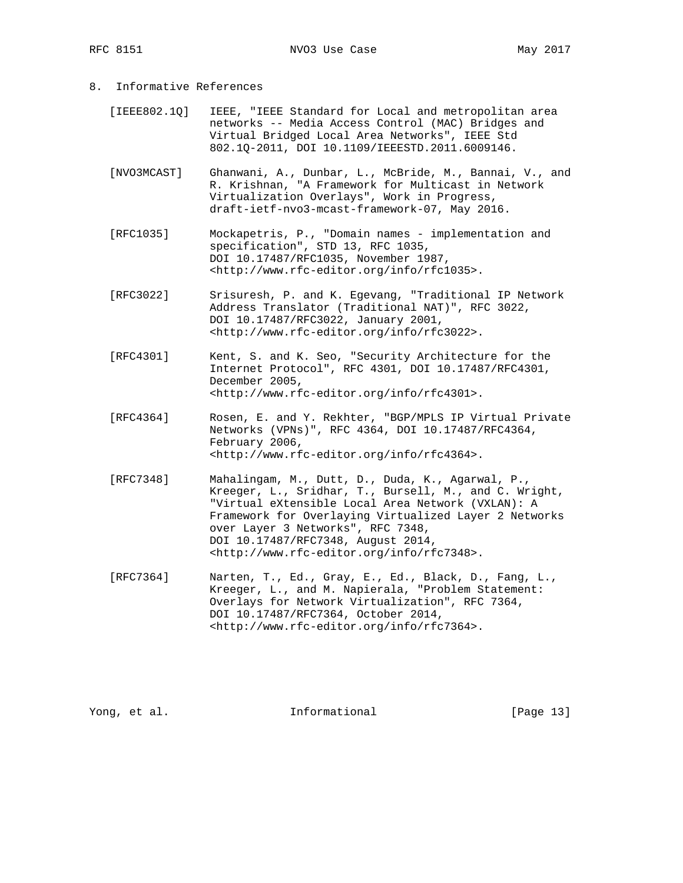- 8. Informative References
	- [IEEE802.1Q] IEEE, "IEEE Standard for Local and metropolitan area networks -- Media Access Control (MAC) Bridges and Virtual Bridged Local Area Networks", IEEE Std 802.1Q-2011, DOI 10.1109/IEEESTD.2011.6009146.
	- [NVO3MCAST] Ghanwani, A., Dunbar, L., McBride, M., Bannai, V., and R. Krishnan, "A Framework for Multicast in Network Virtualization Overlays", Work in Progress, draft-ietf-nvo3-mcast-framework-07, May 2016.
	- [RFC1035] Mockapetris, P., "Domain names implementation and specification", STD 13, RFC 1035, DOI 10.17487/RFC1035, November 1987, <http://www.rfc-editor.org/info/rfc1035>.
	- [RFC3022] Srisuresh, P. and K. Egevang, "Traditional IP Network Address Translator (Traditional NAT)", RFC 3022, DOI 10.17487/RFC3022, January 2001, <http://www.rfc-editor.org/info/rfc3022>.
	- [RFC4301] Kent, S. and K. Seo, "Security Architecture for the Internet Protocol", RFC 4301, DOI 10.17487/RFC4301, December 2005, <http://www.rfc-editor.org/info/rfc4301>.
	- [RFC4364] Rosen, E. and Y. Rekhter, "BGP/MPLS IP Virtual Private Networks (VPNs)", RFC 4364, DOI 10.17487/RFC4364, February 2006, <http://www.rfc-editor.org/info/rfc4364>.
	- [RFC7348] Mahalingam, M., Dutt, D., Duda, K., Agarwal, P., Kreeger, L., Sridhar, T., Bursell, M., and C. Wright, "Virtual eXtensible Local Area Network (VXLAN): A Framework for Overlaying Virtualized Layer 2 Networks over Layer 3 Networks", RFC 7348, DOI 10.17487/RFC7348, August 2014, <http://www.rfc-editor.org/info/rfc7348>.
	- [RFC7364] Narten, T., Ed., Gray, E., Ed., Black, D., Fang, L., Kreeger, L., and M. Napierala, "Problem Statement: Overlays for Network Virtualization", RFC 7364, DOI 10.17487/RFC7364, October 2014, <http://www.rfc-editor.org/info/rfc7364>.

Yong, et al. Thermational [Page 13]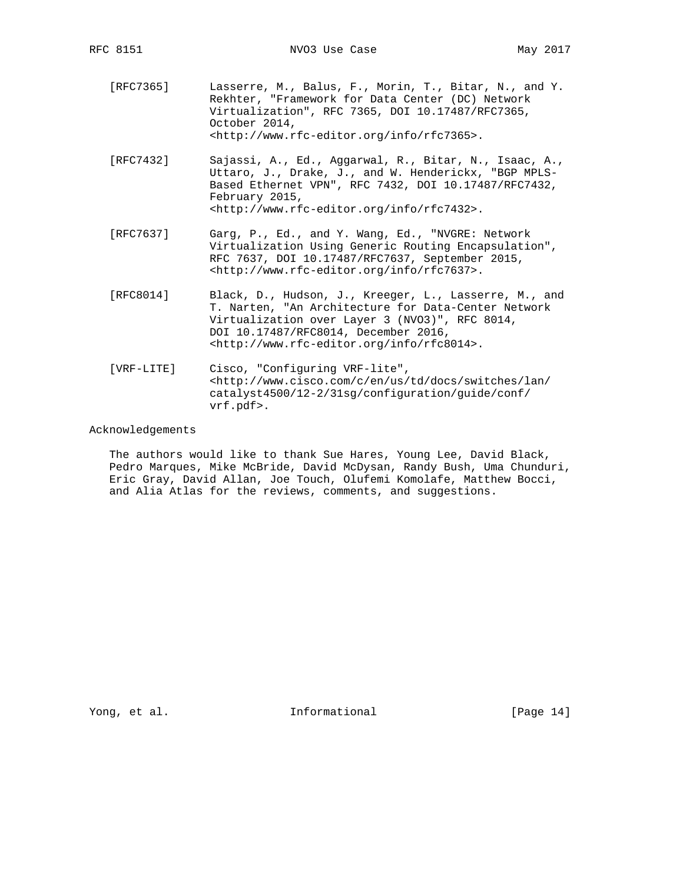- [RFC7365] Lasserre, M., Balus, F., Morin, T., Bitar, N., and Y. Rekhter, "Framework for Data Center (DC) Network Virtualization", RFC 7365, DOI 10.17487/RFC7365, October 2014, <http://www.rfc-editor.org/info/rfc7365>.
- [RFC7432] Sajassi, A., Ed., Aggarwal, R., Bitar, N., Isaac, A., Uttaro, J., Drake, J., and W. Henderickx, "BGP MPLS- Based Ethernet VPN", RFC 7432, DOI 10.17487/RFC7432, February 2015, <http://www.rfc-editor.org/info/rfc7432>.
- [RFC7637] Garg, P., Ed., and Y. Wang, Ed., "NVGRE: Network Virtualization Using Generic Routing Encapsulation", RFC 7637, DOI 10.17487/RFC7637, September 2015, <http://www.rfc-editor.org/info/rfc7637>.
- [RFC8014] Black, D., Hudson, J., Kreeger, L., Lasserre, M., and T. Narten, "An Architecture for Data-Center Network Virtualization over Layer 3 (NVO3)", RFC 8014, DOI 10.17487/RFC8014, December 2016, <http://www.rfc-editor.org/info/rfc8014>.
- [VRF-LITE] Cisco, "Configuring VRF-lite", <http://www.cisco.com/c/en/us/td/docs/switches/lan/ catalyst4500/12-2/31sg/configuration/guide/conf/ vrf.pdf>.

## Acknowledgements

 The authors would like to thank Sue Hares, Young Lee, David Black, Pedro Marques, Mike McBride, David McDysan, Randy Bush, Uma Chunduri, Eric Gray, David Allan, Joe Touch, Olufemi Komolafe, Matthew Bocci, and Alia Atlas for the reviews, comments, and suggestions.

Yong, et al.  $\qquad \qquad$  Informational [Page 14]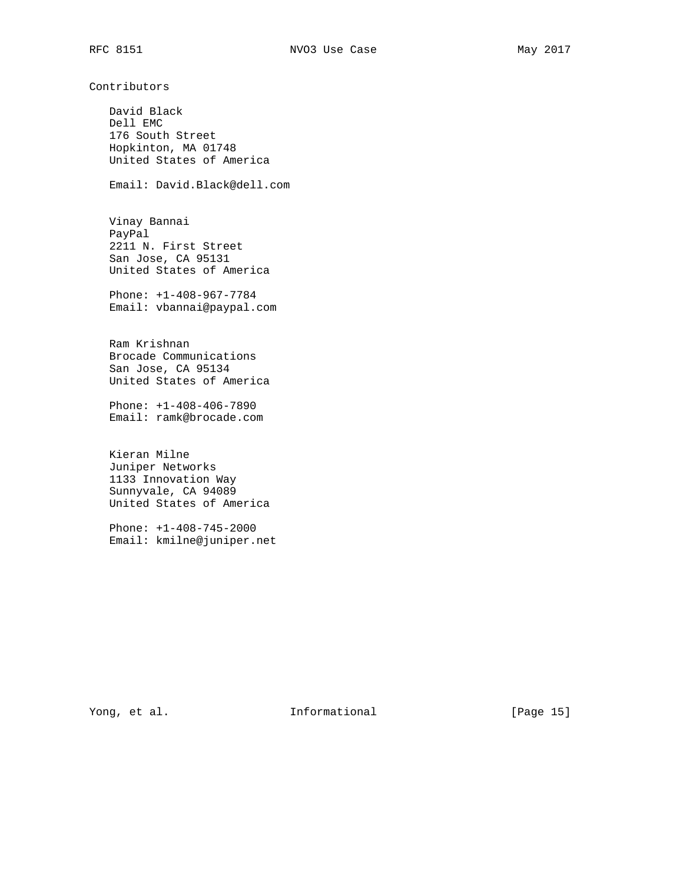Contributors

 David Black Dell EMC 176 South Street Hopkinton, MA 01748 United States of America

Email: David.Black@dell.com

 Vinay Bannai PayPal 2211 N. First Street San Jose, CA 95131 United States of America

 Phone: +1-408-967-7784 Email: vbannai@paypal.com

 Ram Krishnan Brocade Communications San Jose, CA 95134 United States of America

 Phone: +1-408-406-7890 Email: ramk@brocade.com

 Kieran Milne Juniper Networks 1133 Innovation Way Sunnyvale, CA 94089 United States of America

 Phone: +1-408-745-2000 Email: kmilne@juniper.net

Yong, et al. The Informational The IPage 15]